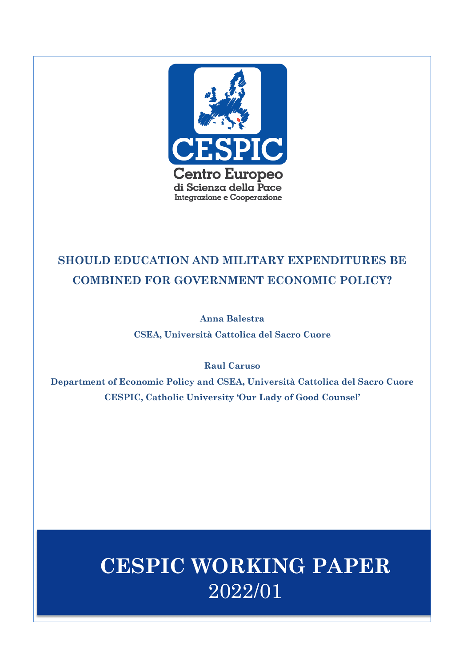

## **SHOULD EDUCATION AND MILITARY EXPENDITURES BE COMBINED FOR GOVERNMENT ECONOMIC POLICY?**

**Anna Balestra CSEA, Università Cattolica del Sacro Cuore**

**Raul Caruso**

**Department of Economic Policy and CSEA, Università Cattolica del Sacro Cuore CESPIC, Catholic University 'Our Lady of Good Counsel'**

# **CESPIC WORKING PAPER** 2022/01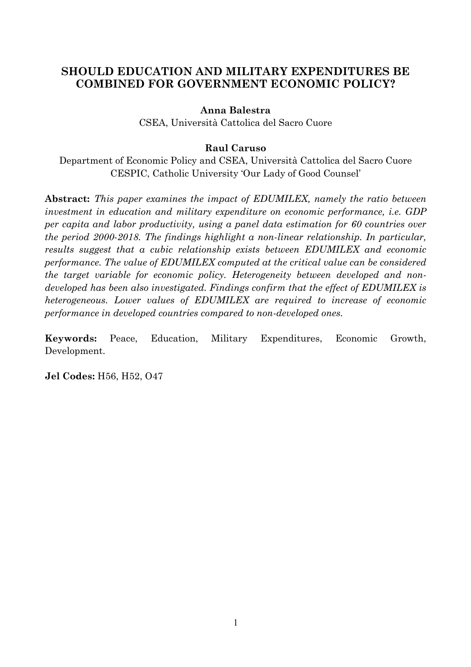## **SHOULD EDUCATION AND MILITARY EXPENDITURES BE COMBINED FOR GOVERNMENT ECONOMIC POLICY?**

## **Anna Balestra**

CSEA, Università Cattolica del Sacro Cuore

### **Raul Caruso**

Department of Economic Policy and CSEA, Università Cattolica del Sacro Cuore CESPIC, Catholic University 'Our Lady of Good Counsel'

**Abstract:** *This paper examines the impact of EDUMILEX, namely the ratio between investment in education and military expenditure on economic performance, i.e. GDP per capita and labor productivity, using a panel data estimation for 60 countries over the period 2000-2018. The findings highlight a non-linear relationship. In particular, results suggest that a cubic relationship exists between EDUMILEX and economic performance. The value of EDUMILEX computed at the critical value can be considered the target variable for economic policy. Heterogeneity between developed and nondeveloped has been also investigated. Findings confirm that the effect of EDUMILEX is heterogeneous. Lower values of EDUMILEX are required to increase of economic performance in developed countries compared to non-developed ones.*

**Keywords:** Peace, Education, Military Expenditures, Economic Growth, Development.

**Jel Codes:** H56, H52, O47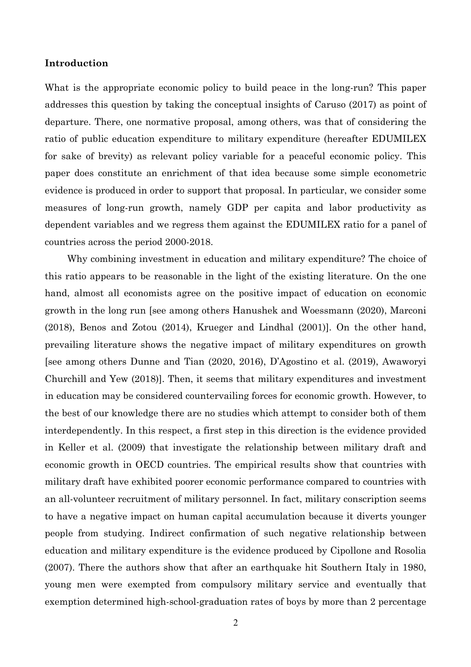#### **Introduction**

What is the appropriate economic policy to build peace in the long-run? This paper addresses this question by taking the conceptual insights of Caruso (2017) as point of departure. There, one normative proposal, among others, was that of considering the ratio of public education expenditure to military expenditure (hereafter EDUMILEX for sake of brevity) as relevant policy variable for a peaceful economic policy. This paper does constitute an enrichment of that idea because some simple econometric evidence is produced in order to support that proposal. In particular, we consider some measures of long-run growth, namely GDP per capita and labor productivity as dependent variables and we regress them against the EDUMILEX ratio for a panel of countries across the period 2000-2018.

Why combining investment in education and military expenditure? The choice of this ratio appears to be reasonable in the light of the existing literature. On the one hand, almost all economists agree on the positive impact of education on economic growth in the long run [see among others Hanushek and Woessmann (2020), Marconi (2018), Benos and Zotou (2014), Krueger and Lindhal (2001)]. On the other hand, prevailing literature shows the negative impact of military expenditures on growth [see among others Dunne and Tian (2020, 2016), D'Agostino et al. (2019), Awaworyi Churchill and Yew (2018)]. Then, it seems that military expenditures and investment in education may be considered countervailing forces for economic growth. However, to the best of our knowledge there are no studies which attempt to consider both of them interdependently. In this respect, a first step in this direction is the evidence provided in Keller et al. (2009) that investigate the relationship between military draft and economic growth in OECD countries. The empirical results show that countries with military draft have exhibited poorer economic performance compared to countries with an all-volunteer recruitment of military personnel. In fact, military conscription seems to have a negative impact on human capital accumulation because it diverts younger people from studying. Indirect confirmation of such negative relationship between education and military expenditure is the evidence produced by Cipollone and Rosolia (2007). There the authors show that after an earthquake hit Southern Italy in 1980, young men were exempted from compulsory military service and eventually that exemption determined high-school-graduation rates of boys by more than 2 percentage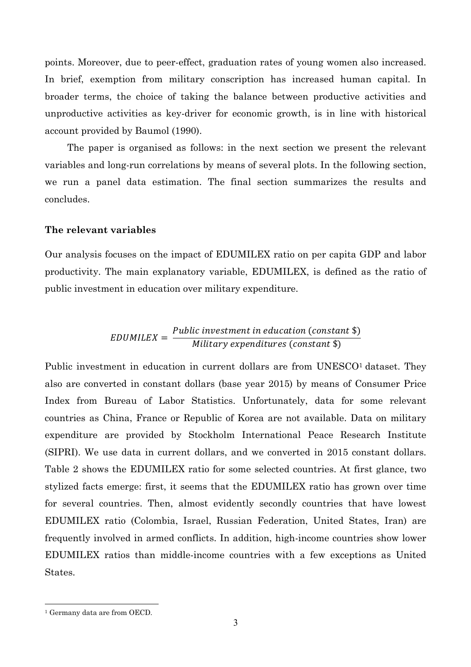points. Moreover, due to peer-effect, graduation rates of young women also increased. In brief, exemption from military conscription has increased human capital. In broader terms, the choice of taking the balance between productive activities and unproductive activities as key-driver for economic growth, is in line with historical account provided by Baumol (1990).

The paper is organised as follows: in the next section we present the relevant variables and long-run correlations by means of several plots. In the following section, we run a panel data estimation. The final section summarizes the results and concludes.

#### **The relevant variables**

Our analysis focuses on the impact of EDUMILEX ratio on per capita GDP and labor productivity. The main explanatory variable, EDUMILEX, is defined as the ratio of public investment in education over military expenditure.

## $EDUMILEX = \frac{Public\ investment\ in\ education\ (constant\ $)}{Military\ expenditures\ (constant\ $)}$

Public investment in education in current dollars are from UNESCO<sup>1</sup> dataset. They also are converted in constant dollars (base year 2015) by means of Consumer Price Index from Bureau of Labor Statistics. Unfortunately, data for some relevant countries as China, France or Republic of Korea are not available. Data on military expenditure are provided by Stockholm International Peace Research Institute (SIPRI). We use data in current dollars, and we converted in 2015 constant dollars. Table 2 shows the EDUMILEX ratio for some selected countries. At first glance, two stylized facts emerge: first, it seems that the EDUMILEX ratio has grown over time for several countries. Then, almost evidently secondly countries that have lowest EDUMILEX ratio (Colombia, Israel, Russian Federation, United States, Iran) are frequently involved in armed conflicts. In addition, high-income countries show lower EDUMILEX ratios than middle-income countries with a few exceptions as United States.

<sup>&</sup>lt;sup>1</sup> Germany data are from OECD.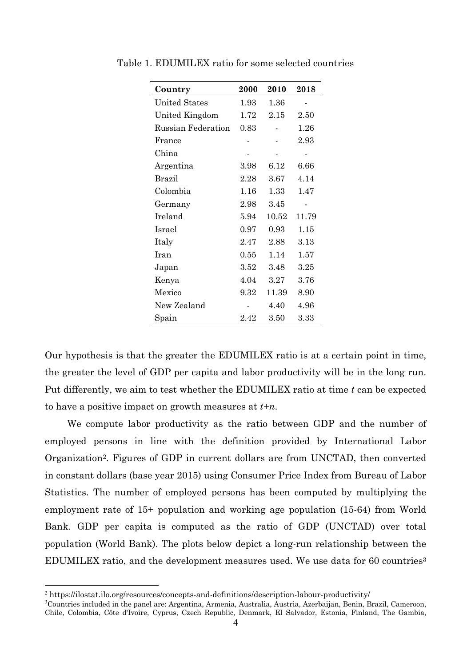| Country                   | 2000     | 2010  | 2018  |
|---------------------------|----------|-------|-------|
| <b>United States</b>      | 1.93     | 1.36  |       |
| United Kingdom            | 1.72     | 2.15  | 2.50  |
| <b>Russian Federation</b> | 0.83     |       | 1.26  |
| France                    |          |       | 2.93  |
| China                     |          |       |       |
| Argentina                 | 3.98     | 6.12  | 6.66  |
| <b>Brazil</b>             | 2.28     | 3.67  | 4.14  |
| Colombia                  | 1.16     | 1.33  | 1.47  |
| Germany                   | 2.98     | 3.45  |       |
| Ireland                   | 5.94     | 10.52 | 11.79 |
| Israel                    | 0.97     | 0.93  | 1.15  |
| Italy                     | 2.47     | 2.88  | 3.13  |
| Iran                      | 0.55     | 1.14  | 1.57  |
| Japan                     | 3.52     | 3.48  | 3.25  |
| Kenya                     | 4.04     | 3.27  | 3.76  |
| Mexico                    | 9.32     | 11.39 | 8.90  |
| New Zealand               |          | 4.40  | 4.96  |
| Spain                     | $2.42\,$ | 3.50  | 3.33  |

Table 1. EDUMILEX ratio for some selected countries

Our hypothesis is that the greater the EDUMILEX ratio is at a certain point in time, the greater the level of GDP per capita and labor productivity will be in the long run. Put differently, we aim to test whether the EDUMILEX ratio at time *t* can be expected to have a positive impact on growth measures at *t+n*.

We compute labor productivity as the ratio between GDP and the number of employed persons in line with the definition provided by International Labor Organization2. Figures of GDP in current dollars are from UNCTAD, then converted in constant dollars (base year 2015) using Consumer Price Index from Bureau of Labor Statistics. The number of employed persons has been computed by multiplying the employment rate of 15+ population and working age population (15-64) from World Bank. GDP per capita is computed as the ratio of GDP (UNCTAD) over total population (World Bank). The plots below depict a long-run relationship between the EDUMILEX ratio, and the development measures used. We use data for 60 countries3

<sup>2</sup> https://ilostat.ilo.org/resources/concepts-and-definitions/description-labour-productivity/

<sup>3</sup> Countries included in the panel are: Argentina, Armenia, Australia, Austria, Azerbaijan, Benin, Brazil, Cameroon, Chile, Colombia, Côte d'Ivoire, Cyprus, Czech Republic, Denmark, El Salvador, Estonia, Finland, The Gambia,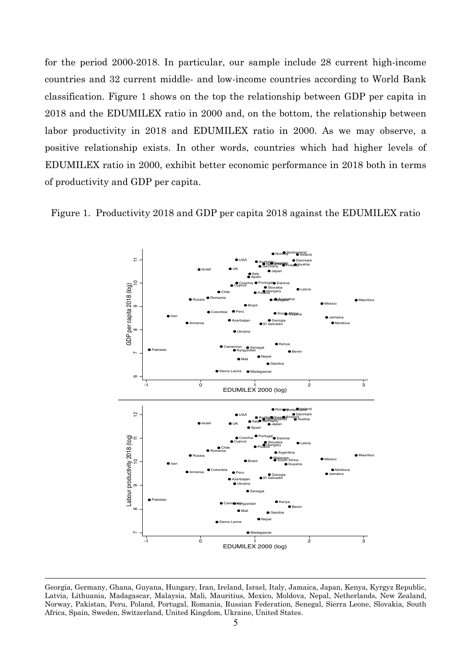for the period 2000-2018. In particular, our sample include 28 current high-income countries and 32 current middle- and low-income countries according to World Bank classification. Figure 1 shows on the top the relationship between GDP per capita in 2018 and the EDUMILEX ratio in 2000 and, on the bottom, the relationship between labor productivity in 2018 and EDUMILEX ratio in 2000. As we may observe, a positive relationship exists. In other words, countries which had higher levels of EDUMILEX ratio in 2000, exhibit better economic performance in 2018 both in terms of productivity and GDP per capita.





Georgia, Germany, Ghana, Guyana, Hungary, Iran, Ireland, Israel, Italy, Jamaica, Japan, Kenya, Kyrgyz Republic, Latvia, Lithuania, Madagascar, Malaysia, Mali, Mauritius, Mexico, Moldova, Nepal, Netherlands, New Zealand, Norway, Pakistan, Peru, Poland, Portugal, Romania, Russian Federation, Senegal, Sierra Leone, Slovakia, South Africa, Spain, Sweden, Switzerland, United Kingdom, Ukraine, United States.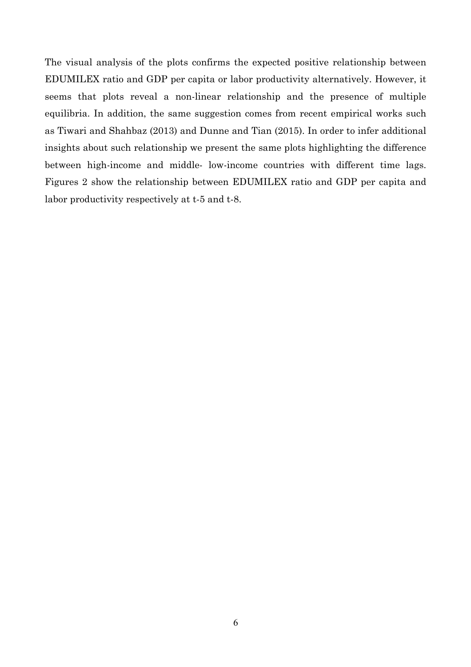The visual analysis of the plots confirms the expected positive relationship between EDUMILEX ratio and GDP per capita or labor productivity alternatively. However, it seems that plots reveal a non-linear relationship and the presence of multiple equilibria. In addition, the same suggestion comes from recent empirical works such as Tiwari and Shahbaz (2013) and Dunne and Tian (2015). In order to infer additional insights about such relationship we present the same plots highlighting the difference between high-income and middle- low-income countries with different time lags. Figures 2 show the relationship between EDUMILEX ratio and GDP per capita and labor productivity respectively at t-5 and t-8.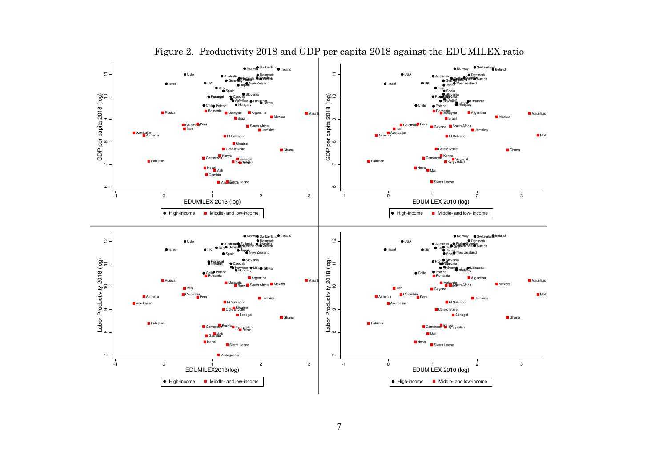

## Figure 2. Productivity 2018 and GDP per capita 2018 against the EDUMILEX ratio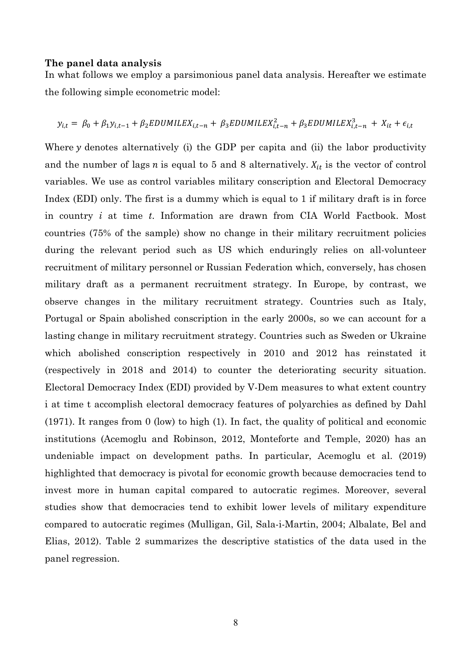#### **The panel data analysis**

In what follows we employ a parsimonious panel data analysis. Hereafter we estimate the following simple econometric model:

$$
y_{i,t} = \beta_0 + \beta_1 y_{i,t-1} + \beta_2 EDUMILEX_{i,t-n} + \beta_3 EDUMILEX_{i,t-n}^2 + \beta_3 EDUMILEX_{i,t-n}^3 + X_{it} + \epsilon_{i,t}
$$

Where  $y$  denotes alternatively (i) the GDP per capita and (ii) the labor productivity and the number of lags  $n$  is equal to 5 and 8 alternatively.  $X_{it}$  is the vector of control variables. We use as control variables military conscription and Electoral Democracy Index (EDI) only. The first is a dummy which is equal to 1 if military draft is in force in country *i* at time *t*. Information are drawn from CIA World Factbook. Most countries (75% of the sample) show no change in their military recruitment policies during the relevant period such as US which enduringly relies on all-volunteer recruitment of military personnel or Russian Federation which, conversely, has chosen military draft as a permanent recruitment strategy. In Europe, by contrast, we observe changes in the military recruitment strategy. Countries such as Italy, Portugal or Spain abolished conscription in the early 2000s, so we can account for a lasting change in military recruitment strategy. Countries such as Sweden or Ukraine which abolished conscription respectively in 2010 and 2012 has reinstated it (respectively in 2018 and 2014) to counter the deteriorating security situation. Electoral Democracy Index (EDI) provided by V-Dem measures to what extent country i at time t accomplish electoral democracy features of polyarchies as defined by Dahl (1971). It ranges from 0 (low) to high (1). In fact, the quality of political and economic institutions (Acemoglu and Robinson, 2012, Monteforte and Temple, 2020) has an undeniable impact on development paths. In particular, Acemoglu et al. (2019) highlighted that democracy is pivotal for economic growth because democracies tend to invest more in human capital compared to autocratic regimes. Moreover, several studies show that democracies tend to exhibit lower levels of military expenditure compared to autocratic regimes (Mulligan, Gil, Sala-i-Martin, 2004; Albalate, Bel and Elias, 2012). Table 2 summarizes the descriptive statistics of the data used in the panel regression.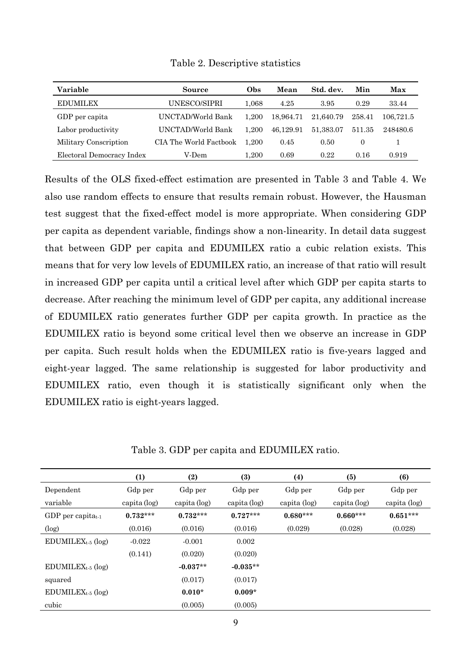| Variable                  | Source                 | Obs       | Mean      | Std. dev. | Min      | Max       |
|---------------------------|------------------------|-----------|-----------|-----------|----------|-----------|
| <b>EDUMILEX</b>           | UNESCO/SIPRI           | $1.068\,$ | 4.25      | 3.95      | 0.29     | 33.44     |
| GDP per capita            | UNCTAD/World Bank      | 1.200     | 18.964.71 | 21,640.79 | 258.41   | 106,721.5 |
| Labor productivity        | UNCTAD/World Bank      | 1.200     | 46.129.91 | 51.383.07 | 511.35   | 248480.6  |
| Military Conscription     | CIA The World Factbook | 1.200     | 0.45      | 0.50      | $\theta$ |           |
| Electoral Democracy Index | V-Dem                  | 1.200     | 0.69      | 0.22      | 0.16     | 0.919     |

Table 2. Descriptive statistics

Results of the OLS fixed-effect estimation are presented in Table 3 and Table 4. We also use random effects to ensure that results remain robust. However, the Hausman test suggest that the fixed-effect model is more appropriate. When considering GDP per capita as dependent variable, findings show a non-linearity. In detail data suggest that between GDP per capita and EDUMILEX ratio a cubic relation exists. This means that for very low levels of EDUMILEX ratio, an increase of that ratio will result in increased GDP per capita until a critical level after which GDP per capita starts to decrease. After reaching the minimum level of GDP per capita, any additional increase of EDUMILEX ratio generates further GDP per capita growth. In practice as the EDUMILEX ratio is beyond some critical level then we observe an increase in GDP per capita. Such result holds when the EDUMILEX ratio is five-years lagged and eight-year lagged. The same relationship is suggested for labor productivity and EDUMILEX ratio, even though it is statistically significant only when the EDUMILEX ratio is eight-years lagged.

|                        | (1)          | (2)          | (3)          | (4)          | (5)          | (6)          |
|------------------------|--------------|--------------|--------------|--------------|--------------|--------------|
| Dependent              | Gdp per      | Gdp per      | Gdp per      | Gdp per      | Gdp per      | Gdp per      |
| variable               | capita (log) | capita (log) | capita (log) | capita (log) | capita (log) | capita (log) |
| GDP per capitat $_1$   | $0.732***$   | $0.732***$   | $0.727***$   | $0.680***$   | $0.660***$   | $0.651***$   |
| $(\log)$               | (0.016)      | (0.016)      | (0.016)      | (0.029)      | (0.028)      | (0.028)      |
| $EDUMILEX_{t-5}$ (log) | $-0.022$     | $-0.001$     | 0.002        |              |              |              |
|                        | (0.141)      | (0.020)      | (0.020)      |              |              |              |
| $EDUMILEX_{t-5}$ (log) |              | $-0.037**$   | $-0.035**$   |              |              |              |
| squared                |              | (0.017)      | (0.017)      |              |              |              |
| $EDUMILEX_{t-5}$ (log) |              | $0.010*$     | $0.009*$     |              |              |              |
| cubic                  |              | (0.005)      | (0.005)      |              |              |              |

Table 3. GDP per capita and EDUMILEX ratio.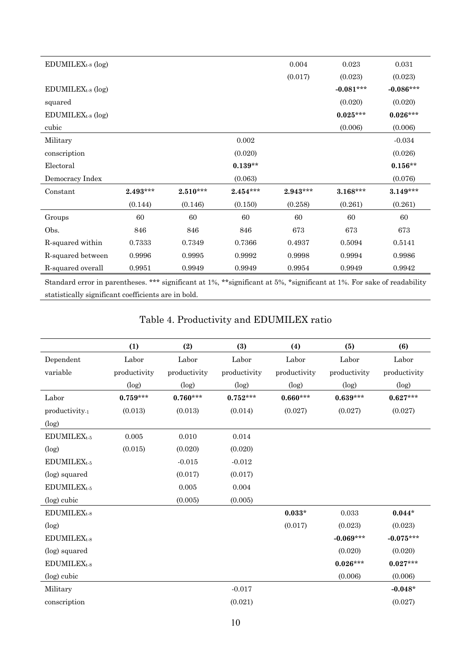| $EDUMILEXt-8 (log)$ |            |            |            | 0.004      | 0.023       | 0.031       |
|---------------------|------------|------------|------------|------------|-------------|-------------|
|                     |            |            |            | (0.017)    | (0.023)     | (0.023)     |
| $EDUMILEXt-8 (log)$ |            |            |            |            | $-0.081***$ | $-0.086***$ |
| squared             |            |            |            |            | (0.020)     | (0.020)     |
| $EDUMILEXt-8 (log)$ |            |            |            |            | $0.025***$  | $0.026***$  |
| cubic               |            |            |            |            | (0.006)     | (0.006)     |
| Military            |            |            | 0.002      |            |             | $-0.034$    |
| conscription        |            |            | (0.020)    |            |             | (0.026)     |
| Electoral           |            |            | $0.139**$  |            |             | $0.156**$   |
| Democracy Index     |            |            | (0.063)    |            |             | (0.076)     |
| Constant            | $2.493***$ | $2.510***$ | $2.454***$ | $2.943***$ | $3.168***$  | $3.149***$  |
|                     | (0.144)    | (0.146)    | (0.150)    | (0.258)    | (0.261)     | (0.261)     |
| Groups              | 60         | 60         | 60         | 60         | 60          | 60          |
| Obs.                | 846        | 846        | 846        | 673        | 673         | 673         |
| R-squared within    | 0.7333     | 0.7349     | 0.7366     | 0.4937     | 0.5094      | 0.5141      |
| R-squared between   | 0.9996     | 0.9995     | 0.9992     | 0.9998     | 0.9994      | 0.9986      |
| R-squared overall   | 0.9951     | 0.9949     | 0.9949     | 0.9954     | 0.9949      | 0.9942      |
|                     |            |            |            |            |             |             |

Standard error in parentheses. \*\*\* significant at 1%, \*\*significant at 5%, \*significant at 1%. For sake of readability statistically significant coefficients are in bold.

## Table 4. Productivity and EDUMILEX ratio

|                           | (1)          | (2)          | (3)          | (4)          | (5)          | (6)          |
|---------------------------|--------------|--------------|--------------|--------------|--------------|--------------|
| Dependent                 | Labor        | Labor        | Labor        | Labor        | Labor        | Labor        |
| variable                  | productivity | productivity | productivity | productivity | productivity | productivity |
|                           | (log)        | (log)        | (log)        | (log)        | (log)        | (log)        |
| Labor                     | $0.759***$   | $0.760***$   | $0.752***$   | $0.660***$   | $0.639***$   | $0.627***$   |
| productivity <sub>1</sub> | (0.013)      | (0.013)      | (0.014)      | (0.027)      | (0.027)      | (0.027)      |
| $(\log)$                  |              |              |              |              |              |              |
| EDUMILEX <sub>t-5</sub>   | 0.005        | 0.010        | 0.014        |              |              |              |
| (log)                     | (0.015)      | (0.020)      | (0.020)      |              |              |              |
| EDUMILEX <sub>t-5</sub>   |              | $-0.015$     | $-0.012$     |              |              |              |
| (log) squared             |              | (0.017)      | (0.017)      |              |              |              |
| EDUMILEX <sub>t-5</sub>   |              | 0.005        | 0.004        |              |              |              |
| (log) cubic               |              | (0.005)      | (0.005)      |              |              |              |
| EDUMILEX <sub>t-8</sub>   |              |              |              | $0.033*$     | 0.033        | $0.044*$     |
| (log)                     |              |              |              | (0.017)      | (0.023)      | (0.023)      |
| EDUMILEX <sub>t-8</sub>   |              |              |              |              | $-0.069***$  | $-0.075***$  |
| (log) squared             |              |              |              |              | (0.020)      | (0.020)      |
| EDUMILEX <sub>t-8</sub>   |              |              |              |              | $0.026***$   | $0.027***$   |
| (log) cubic               |              |              |              |              | (0.006)      | (0.006)      |
| Military                  |              |              | $-0.017$     |              |              | $-0.048*$    |
| conscription              |              |              | (0.021)      |              |              | (0.027)      |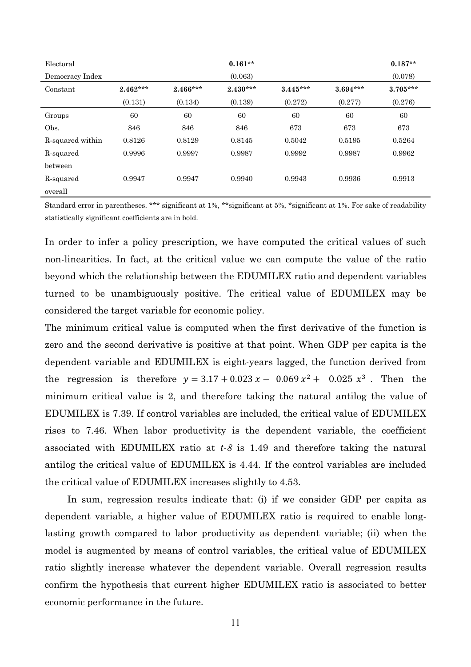| Electoral        |            |            | $0.161**$  |            |            | $0.187**$  |
|------------------|------------|------------|------------|------------|------------|------------|
| Democracy Index  |            |            | (0.063)    |            |            | (0.078)    |
| Constant         | $2.462***$ | $2.466***$ | $2.430***$ | $3.445***$ | $3.694***$ | $3.705***$ |
|                  | (0.131)    | (0.134)    | (0.139)    | (0.272)    | (0.277)    | (0.276)    |
| Groups           | 60         | 60         | 60         | 60         | 60         | 60         |
| Obs.             | 846        | 846        | 846        | 673        | 673        | 673        |
| R-squared within | 0.8126     | 0.8129     | 0.8145     | 0.5042     | 0.5195     | 0.5264     |
| R-squared        | 0.9996     | 0.9997     | 0.9987     | 0.9992     | 0.9987     | 0.9962     |
| between          |            |            |            |            |            |            |
| R-squared        | 0.9947     | 0.9947     | 0.9940     | 0.9943     | 0.9936     | 0.9913     |
| overall          |            |            |            |            |            |            |

Standard error in parentheses. \*\*\* significant at 1%, \*\*significant at 5%, \*significant at 1%. For sake of readability statistically significant coefficients are in bold.

In order to infer a policy prescription, we have computed the critical values of such non-linearities. In fact, at the critical value we can compute the value of the ratio beyond which the relationship between the EDUMILEX ratio and dependent variables turned to be unambiguously positive. The critical value of EDUMILEX may be considered the target variable for economic policy.

The minimum critical value is computed when the first derivative of the function is zero and the second derivative is positive at that point. When GDP per capita is the dependent variable and EDUMILEX is eight-years lagged, the function derived from the regression is therefore  $y = 3.17 + 0.023 x - 0.069 x^2 + 0.025 x^3$ . Then the minimum critical value is 2, and therefore taking the natural antilog the value of EDUMILEX is 7.39. If control variables are included, the critical value of EDUMILEX rises to 7.46. When labor productivity is the dependent variable, the coefficient associated with EDUMILEX ratio at *t-8* is 1.49 and therefore taking the natural antilog the critical value of EDUMILEX is 4.44. If the control variables are included the critical value of EDUMILEX increases slightly to 4.53.

In sum, regression results indicate that: (i) if we consider GDP per capita as dependent variable, a higher value of EDUMILEX ratio is required to enable longlasting growth compared to labor productivity as dependent variable; (ii) when the model is augmented by means of control variables, the critical value of EDUMILEX ratio slightly increase whatever the dependent variable. Overall regression results confirm the hypothesis that current higher EDUMILEX ratio is associated to better economic performance in the future.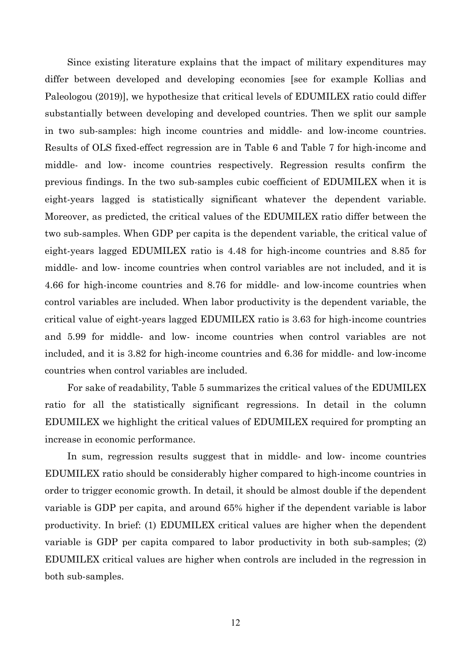Since existing literature explains that the impact of military expenditures may differ between developed and developing economies [see for example Kollias and Paleologou (2019)], we hypothesize that critical levels of EDUMILEX ratio could differ substantially between developing and developed countries. Then we split our sample in two sub-samples: high income countries and middle- and low-income countries. Results of OLS fixed-effect regression are in Table 6 and Table 7 for high-income and middle- and low- income countries respectively. Regression results confirm the previous findings. In the two sub-samples cubic coefficient of EDUMILEX when it is eight-years lagged is statistically significant whatever the dependent variable. Moreover, as predicted, the critical values of the EDUMILEX ratio differ between the two sub-samples. When GDP per capita is the dependent variable, the critical value of eight-years lagged EDUMILEX ratio is 4.48 for high-income countries and 8.85 for middle- and low- income countries when control variables are not included, and it is 4.66 for high-income countries and 8.76 for middle- and low-income countries when control variables are included. When labor productivity is the dependent variable, the critical value of eight-years lagged EDUMILEX ratio is 3.63 for high-income countries and 5.99 for middle- and low- income countries when control variables are not included, and it is 3.82 for high-income countries and 6.36 for middle- and low-income countries when control variables are included.

For sake of readability, Table 5 summarizes the critical values of the EDUMILEX ratio for all the statistically significant regressions. In detail in the column EDUMILEX we highlight the critical values of EDUMILEX required for prompting an increase in economic performance.

In sum, regression results suggest that in middle- and low- income countries EDUMILEX ratio should be considerably higher compared to high-income countries in order to trigger economic growth. In detail, it should be almost double if the dependent variable is GDP per capita, and around 65% higher if the dependent variable is labor productivity. In brief: (1) EDUMILEX critical values are higher when the dependent variable is GDP per capita compared to labor productivity in both sub-samples; (2) EDUMILEX critical values are higher when controls are included in the regression in both sub-samples.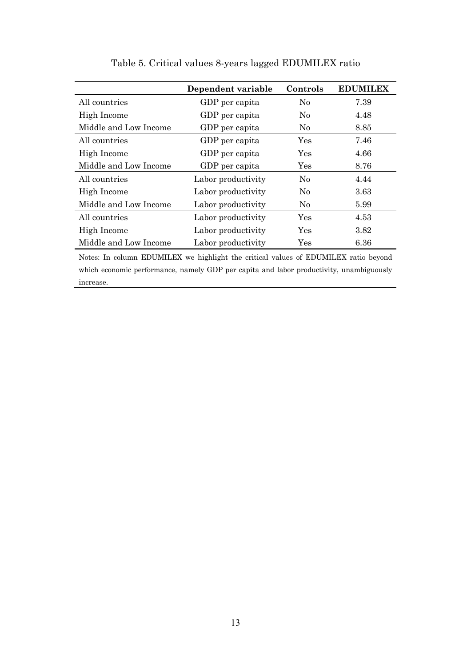|                       | Dependent variable | Controls       | <b>EDUMILEX</b> |
|-----------------------|--------------------|----------------|-----------------|
| All countries         | GDP per capita     | No             | 7.39            |
| High Income           | GDP per capita     | No             | 4.48            |
| Middle and Low Income | GDP per capita     | N <sub>0</sub> | 8.85            |
| All countries         | GDP per capita     | Yes            | 7.46            |
| High Income           | GDP per capita     | Yes            | 4.66            |
| Middle and Low Income | GDP per capita     | Yes            | 8.76            |
| All countries         | Labor productivity | No             | 4.44            |
| High Income           | Labor productivity | N <sub>0</sub> | 3.63            |
| Middle and Low Income | Labor productivity | No             | 5.99            |
| All countries         | Labor productivity | Yes            | 4.53            |
| High Income           | Labor productivity | Yes            | 3.82            |
| Middle and Low Income | Labor productivity | $\rm Yes$      | 6.36            |

Table 5. Critical values 8-years lagged EDUMILEX ratio

Notes: In column EDUMILEX we highlight the critical values of EDUMILEX ratio beyond which economic performance, namely GDP per capita and labor productivity, unambiguously increase.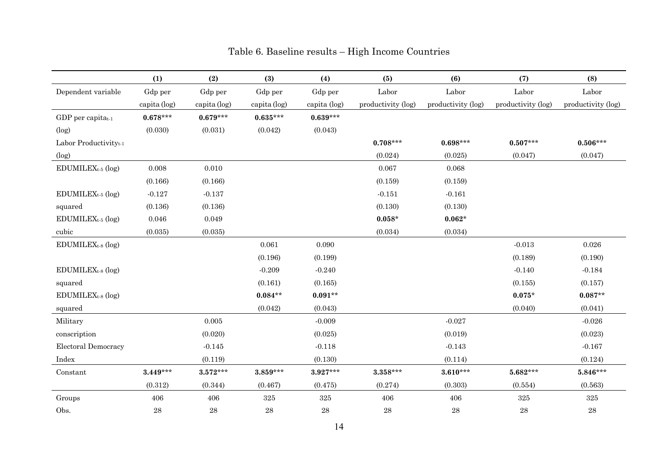|                                   | (1)          | (2)          | (3)          | (4)          | (5)                | (6)                | (7)                | (8)                |
|-----------------------------------|--------------|--------------|--------------|--------------|--------------------|--------------------|--------------------|--------------------|
| Dependent variable                | Gdp per      | Gdp per      | Gdp per      | Gdp per      | Labor              | Labor              | Labor              | Labor              |
|                                   | capita (log) | capita (log) | capita (log) | capita (log) | productivity (log) | productivity (log) | productivity (log) | productivity (log) |
| GDP per capita $_{t-1}$           | $0.678***$   | $0.679***$   | $0.635***$   | $0.639***$   |                    |                    |                    |                    |
| (log)                             | (0.030)      | (0.031)      | (0.042)      | (0.043)      |                    |                    |                    |                    |
| Labor Productivity <sub>t-1</sub> |              |              |              |              | $0.708***$         | $0.698***$         | $0.507***$         | $0.506***$         |
| (log)                             |              |              |              |              | (0.024)            | (0.025)            | (0.047)            | (0.047)            |
| EDUMILEX <sub>t-5</sub> (log)     | 0.008        | 0.010        |              |              | 0.067              | 0.068              |                    |                    |
|                                   | (0.166)      | (0.166)      |              |              | (0.159)            | (0.159)            |                    |                    |
| EDUMILEX <sub>t-5</sub> (log)     | $-0.127$     | $-0.137$     |              |              | $-0.151$           | $-0.161$           |                    |                    |
| squared                           | (0.136)      | (0.136)      |              |              | (0.130)            | (0.130)            |                    |                    |
| $EDUMILEX_{t-5}$ (log)            | 0.046        | 0.049        |              |              | $0.058*$           | $0.062*$           |                    |                    |
| cubic                             | (0.035)      | (0.035)      |              |              | (0.034)            | (0.034)            |                    |                    |
| $EDUMILEX_{t-8}$ (log)            |              |              | 0.061        | 0.090        |                    |                    | $-0.013$           | 0.026              |
|                                   |              |              | (0.196)      | (0.199)      |                    |                    | (0.189)            | (0.190)            |
| $EDUMILEX_{t-8}$ (log)            |              |              | $-0.209$     | $-0.240$     |                    |                    | $-0.140$           | $-0.184$           |
| squared                           |              |              | (0.161)      | (0.165)      |                    |                    | (0.155)            | (0.157)            |
| $EDUMILEX_{t-8}$ (log)            |              |              | $0.084**$    | $0.091**$    |                    |                    | $0.075*$           | $0.087**$          |
| squared                           |              |              | (0.042)      | (0.043)      |                    |                    | (0.040)            | (0.041)            |
| Military                          |              | 0.005        |              | $-0.009$     |                    | $-0.027$           |                    | $-0.026$           |
| conscription                      |              | (0.020)      |              | (0.025)      |                    | (0.019)            |                    | (0.023)            |
| <b>Electoral Democracy</b>        |              | $-0.145$     |              | $-0.118$     |                    | $-0.143$           |                    | $-0.167$           |
| Index                             |              | (0.119)      |              | (0.130)      |                    | (0.114)            |                    | (0.124)            |
| Constant                          | $3.449***$   | $3.572***$   | $3.859***$   | $3.927***$   | $3.358***$         | $3.610***$         | $5.682***$         | $5.846***$         |
|                                   | (0.312)      | (0.344)      | (0.467)      | (0.475)      | (0.274)            | (0.303)            | (0.554)            | (0.563)            |
| Groups                            | 406          | 406          | $325\,$      | $325\,$      | 406                | 406                | 325                | $325\,$            |
| Obs.                              | $\bf 28$     | ${\bf 28}$   | $\bf 28$     | ${\bf 28}$   | $\sqrt{28}$        | ${\bf 28}$         | ${\bf 28}$         | ${\bf 28}$         |

## Table 6. Baseline results – High Income Countries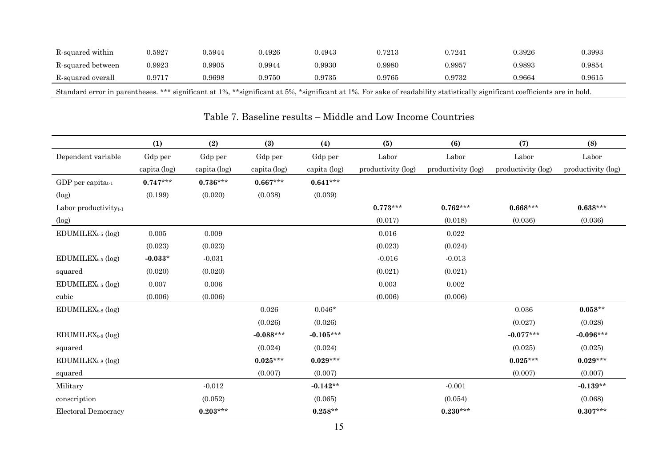| R-squared within                  | 0.5927 | 0.5944 | .4926      | 0.4943     | 0.7213 | 0.7241 | 0.3926                                                                                                                                        | 0.3993 |
|-----------------------------------|--------|--------|------------|------------|--------|--------|-----------------------------------------------------------------------------------------------------------------------------------------------|--------|
| R-squared between                 | 0.9923 | 0.9905 | 0.9944     | 0.9930     | 0.9980 | 0.9957 | 0.9893                                                                                                                                        | 0.9854 |
| R-squared overall                 | 0.9717 | 0.9698 | ${0.9750}$ | ${0.9735}$ | 0.9765 | 0.9732 | 0.9664                                                                                                                                        | 0.9615 |
| Standard error in parentheses. ** |        |        |            |            |        |        | . *** significant at 1%, **significant at 5%, *significant at 1%. For sake of readability statistically significant coefficients are in bold. |        |

|                                   | (1)          | (2)          | (3)          | (4)          | (5)                | (6)                | (7)                | (8)                |
|-----------------------------------|--------------|--------------|--------------|--------------|--------------------|--------------------|--------------------|--------------------|
| Dependent variable                | Gdp per      | Gdp per      | Gdp per      | Gdp per      | Labor              | Labor              | Labor              | Labor              |
|                                   | capita (log) | capita (log) | capita (log) | capita (log) | productivity (log) | productivity (log) | productivity (log) | productivity (log) |
| GDP per capitat1                  | $0.747***$   | $0.736***$   | $0.667***$   | $0.641***$   |                    |                    |                    |                    |
| (log)                             | (0.199)      | (0.020)      | (0.038)      | (0.039)      |                    |                    |                    |                    |
| Labor productivity <sub>t-1</sub> |              |              |              |              | $0.773***$         | $0.762***$         | $0.668***$         | $0.638***$         |
| (log)                             |              |              |              |              | (0.017)            | (0.018)            | (0.036)            | (0.036)            |
| EDUMILEX <sub>t-5</sub> (log)     | 0.005        | 0.009        |              |              | 0.016              | 0.022              |                    |                    |
|                                   | (0.023)      | (0.023)      |              |              | (0.023)            | (0.024)            |                    |                    |
| $EDUMILEXt-5 (log)$               | $-0.033*$    | $-0.031$     |              |              | $-0.016$           | $-0.013$           |                    |                    |
| squared                           | (0.020)      | (0.020)      |              |              | (0.021)            | (0.021)            |                    |                    |
| EDUMILEX <sub>t-5</sub> (log)     | 0.007        | 0.006        |              |              | 0.003              | 0.002              |                    |                    |
| cubic                             | (0.006)      | (0.006)      |              |              | (0.006)            | (0.006)            |                    |                    |
| $EDUMILEX_{t-8}$ (log)            |              |              | 0.026        | $0.046*$     |                    |                    | 0.036              | $0.058**$          |
|                                   |              |              | (0.026)      | (0.026)      |                    |                    | (0.027)            | (0.028)            |
| $EDUMILEXt-8 (log)$               |              |              | $-0.088***$  | $-0.105***$  |                    |                    | $-0.077***$        | $-0.096***$        |
| squared                           |              |              | (0.024)      | (0.024)      |                    |                    | (0.025)            | (0.025)            |
| $EDUMILEX_{t-8}$ (log)            |              |              | $0.025***$   | $0.029***$   |                    |                    | $0.025***$         | $0.029***$         |
| squared                           |              |              | (0.007)      | (0.007)      |                    |                    | (0.007)            | (0.007)            |
| Military                          |              | $-0.012$     |              | $-0.142**$   |                    | $-0.001$           |                    | $-0.139**$         |
| conscription                      |              | (0.052)      |              | (0.065)      |                    | (0.054)            |                    | (0.068)            |
| <b>Electoral Democracy</b>        |              | $0.203***$   |              | $0.258**$    |                    | $0.230***$         |                    | $0.307***$         |

### Table 7. Baseline results – Middle and Low Income Countries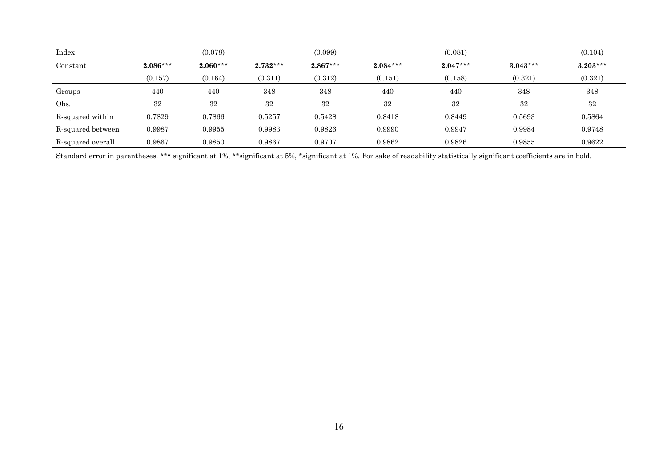| Index                                                                                                                                                                      |            | (0.078)    |            | (0.099)    |            | (0.081)    |            | (0.104)    |
|----------------------------------------------------------------------------------------------------------------------------------------------------------------------------|------------|------------|------------|------------|------------|------------|------------|------------|
| Constant                                                                                                                                                                   | $2.086***$ | $2.060***$ | $2.732***$ | $2.867***$ | $2.084***$ | $2.047***$ | $3.043***$ | $3.203***$ |
|                                                                                                                                                                            | (0.157)    | (0.164)    | (0.311)    | (0.312)    | (0.151)    | (0.158)    | (0.321)    | (0.321)    |
| Groups                                                                                                                                                                     | 440        | 440        | 348        | 348        | 440        | 440        | 348        | 348        |
| Obs.                                                                                                                                                                       | 32         | 32         | 32         | 32         | 32         | 32         | 32         | 32         |
| R-squared within                                                                                                                                                           | 0.7829     | 0.7866     | 0.5257     | 0.5428     | 0.8418     | 0.8449     | 0.5693     | 0.5864     |
| R-squared between                                                                                                                                                          | 0.9987     | 0.9955     | 0.9983     | 0.9826     | 0.9990     | 0.9947     | 0.9984     | 0.9748     |
| R-squared overall                                                                                                                                                          | 0.9867     | 0.9850     | 0.9867     | 0.9707     | 0.9862     | 0.9826     | 0.9855     | 0.9622     |
| Standard error in parentheses. *** significant at 1%, **significant at 5%, *significant at 1%. For sake of readability statistically significant coefficients are in bold. |            |            |            |            |            |            |            |            |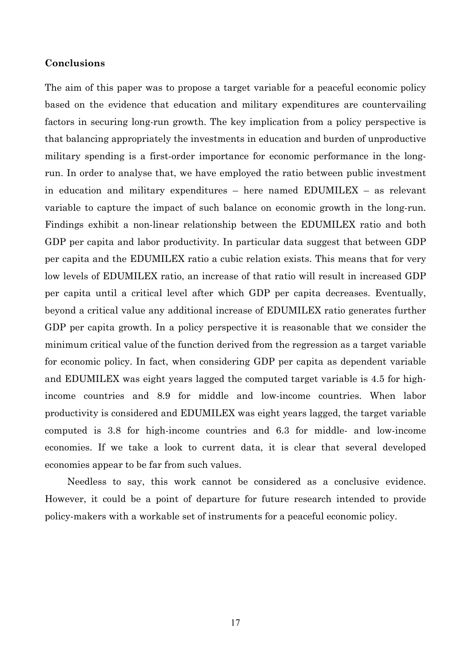#### **Conclusions**

The aim of this paper was to propose a target variable for a peaceful economic policy based on the evidence that education and military expenditures are countervailing factors in securing long-run growth. The key implication from a policy perspective is that balancing appropriately the investments in education and burden of unproductive military spending is a first-order importance for economic performance in the longrun. In order to analyse that, we have employed the ratio between public investment in education and military expenditures – here named EDUMILEX – as relevant variable to capture the impact of such balance on economic growth in the long-run. Findings exhibit a non-linear relationship between the EDUMILEX ratio and both GDP per capita and labor productivity. In particular data suggest that between GDP per capita and the EDUMILEX ratio a cubic relation exists. This means that for very low levels of EDUMILEX ratio, an increase of that ratio will result in increased GDP per capita until a critical level after which GDP per capita decreases. Eventually, beyond a critical value any additional increase of EDUMILEX ratio generates further GDP per capita growth. In a policy perspective it is reasonable that we consider the minimum critical value of the function derived from the regression as a target variable for economic policy. In fact, when considering GDP per capita as dependent variable and EDUMILEX was eight years lagged the computed target variable is 4.5 for highincome countries and 8.9 for middle and low-income countries. When labor productivity is considered and EDUMILEX was eight years lagged, the target variable computed is 3.8 for high-income countries and 6.3 for middle- and low-income economies. If we take a look to current data, it is clear that several developed economies appear to be far from such values.

Needless to say, this work cannot be considered as a conclusive evidence. However, it could be a point of departure for future research intended to provide policy-makers with a workable set of instruments for a peaceful economic policy.

17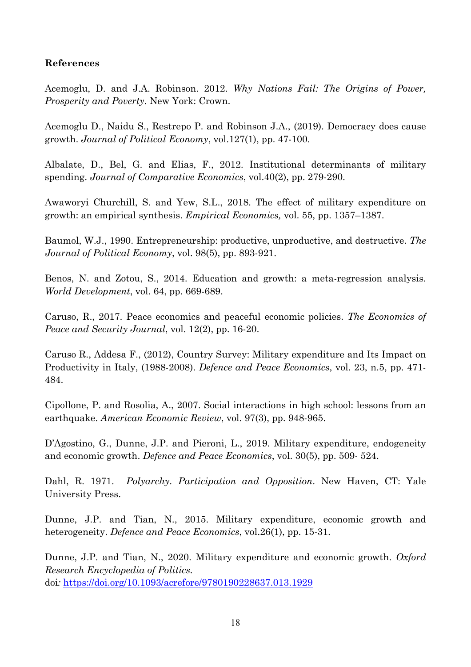## **References**

Acemoglu, D. and J.A. Robinson. 2012. *Why Nations Fail: The Origins of Power, Prosperity and Poverty*. New York: Crown.

Acemoglu D., Naidu S., Restrepo P. and Robinson J.A., (2019). Democracy does cause growth. *Journal of Political Economy*, vol.127(1), pp. 47-100.

Albalate, D., Bel, G. and Elias, F., 2012. Institutional determinants of military spending. *Journal of Comparative Economics*, vol.40(2), pp. 279-290.

Awaworyi Churchill, S. and Yew, S.L., 2018. The effect of military expenditure on growth: an empirical synthesis. *Empirical Economics,* vol. 55, pp. 1357–1387.

Baumol, W.J., 1990. Entrepreneurship: productive, unproductive, and destructive. *The Journal of Political Economy*, vol. 98(5), pp. 893-921.

Benos, N. and Zotou, S., 2014. Education and growth: a meta-regression analysis. *World Development*, vol. 64, pp. 669-689.

Caruso, R., 2017. Peace economics and peaceful economic policies. *The Economics of Peace and Security Journal*, vol. 12(2), pp. 16-20.

Caruso R., Addesa F., (2012), Country Survey: Military expenditure and Its Impact on Productivity in Italy, (1988-2008). *Defence and Peace Economics*, vol. 23, n.5, pp. 471- 484.

Cipollone, P. and Rosolia, A., 2007. Social interactions in high school: lessons from an earthquake. *American Economic Review*, vol. 97(3), pp. 948-965.

D'Agostino, G., Dunne, J.P. and Pieroni, L., 2019. Military expenditure, endogeneity and economic growth. *Defence and Peace Economics*, vol. 30(5), pp. 509- 524.

Dahl, R. 1971. *Polyarchy. Participation and Opposition*. New Haven, CT: Yale University Press.

Dunne, J.P. and Tian, N., 2015. Military expenditure, economic growth and heterogeneity. *Defence and Peace Economics*, vol.26(1), pp. 15-31.

Dunne, J.P. and Tian, N., 2020. Military expenditure and economic growth. *Oxford Research Encyclopedia of Politics.* 

doi*:* https://doi.org/10.1093/acrefore/9780190228637.013.1929